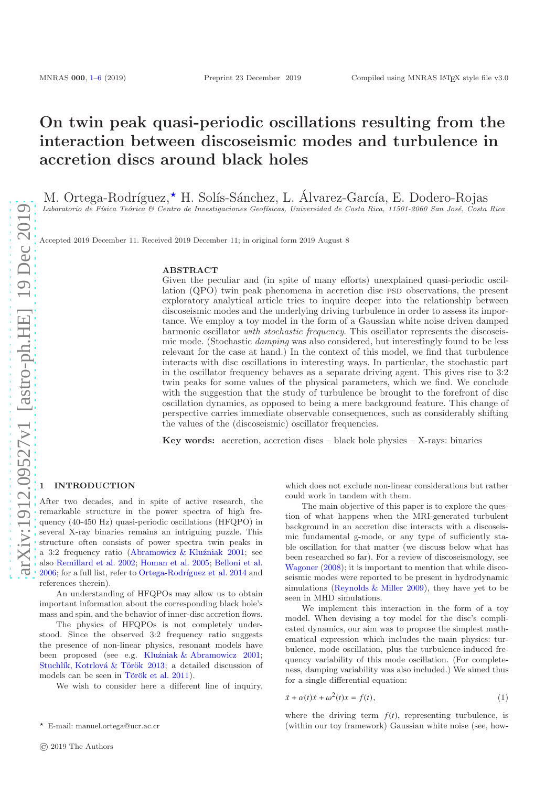# On twin peak quasi-periodic oscillations resulting from the interaction between discoseismic modes and turbulence in accretion discs around black holes

M. Ortega-Rodríguez,<sup>\*</sup> H. Solís-Sánchez, L. Álvarez-García, E. Dodero-Rojas

Laboratorio de Física Teórica & Centro de Investigaciones Geofísicas, Universidad de Costa Rica, 11501-2060 San José, Costa Rica

Accepted 2019 December 11. Received 2019 December 11; in original form 2019 August 8

## ABSTRACT

Given the peculiar and (in spite of many efforts) unexplained quasi-periodic oscillation (QPO) twin peak phenomena in accretion disc PSD observations, the present exploratory analytical article tries to inquire deeper into the relationship between discoseismic modes and the underlying driving turbulence in order to assess its importance. We employ a toy model in the form of a Gaussian white noise driven damped harmonic oscillator with stochastic frequency. This oscillator represents the discoseismic mode. (Stochastic damping was also considered, but interestingly found to be less relevant for the case at hand.) In the context of this model, we find that turbulence interacts with disc oscillations in interesting ways. In particular, the stochastic part in the oscillator frequency behaves as a separate driving agent. This gives rise to 3:2 twin peaks for some values of the physical parameters, which we find. We conclude with the suggestion that the study of turbulence be brought to the forefront of disc oscillation dynamics, as opposed to being a mere background feature. This change of perspective carries immediate observable consequences, such as considerably shifting the values of the (discoseismic) oscillator frequencies.

Key words: accretion, accretion discs – black hole physics –  $X$ -rays: binaries

## <span id="page-0-0"></span>**INTRODUCTION**

After two decades, and in spite of active research, the remarkable structure in the power spectra of high frequency (40-450 Hz) quasi-periodic oscillations (HFQPO) in several X-ray binaries remains an intriguing puzzle. This structure often consists of power spectra twin peaks in a 3:2 frequency ratio (Abramowicz & Kluźniak 2001; see also [Remillard et al. 2002;](#page-4-0) [Homan et al. 2005](#page-4-1); [Belloni et al.](#page-4-2) [2006](#page-4-2); for a full list, refer to Ortega-Rodríguez et al. 2014 and references therein).

An understanding of HFQPOs may allow us to obtain important information about the corresponding black hole's mass and spin, and the behavior of inner-disc accretion flows.

The physics of HFQPOs is not completely understood. Since the observed 3:2 frequency ratio suggests the presence of non-linear physics, resonant models have been proposed (see e.g. Kluźniak & Abramowicz 2001; Stuchlík, Kotrlová & Török 2013; a detailed discussion of models can be seen in Török et al. 2011).

We wish to consider here a different line of inquiry,

which does not exclude non-linear considerations but rather could work in tandem with them.

The main objective of this paper is to explore the question of what happens when the MRI-generated turbulent background in an accretion disc interacts with a discoseismic fundamental g-mode, or any type of sufficiently stable oscillation for that matter (we discuss below what has been researched so far). For a review of discoseismology, see [Wagoner](#page-4-7) [\(2008\)](#page-4-7); it is important to mention that while discoseismic modes were reported to be present in hydrodynamic simulations (Reynolds  $\&$  Miller 2009), they have yet to be seen in MHD simulations.

We implement this interaction in the form of a toy model. When devising a toy model for the disc's complicated dynamics, our aim was to propose the simplest mathematical expression which includes the main physics: turbulence, mode oscillation, plus the turbulence-induced frequency variability of this mode oscillation. (For completeness, damping variability was also included.) We aimed thus for a single differential equation:

<span id="page-0-1"></span>
$$
\ddot{x} + \alpha(t)\dot{x} + \omega^2(t)x = f(t),\tag{1}
$$

where the driving term  $f(t)$ , representing turbulence, is (within our toy framework) Gaussian white noise (see, how-

<sup>⋆</sup> E-mail: manuel.ortega@ucr.ac.cr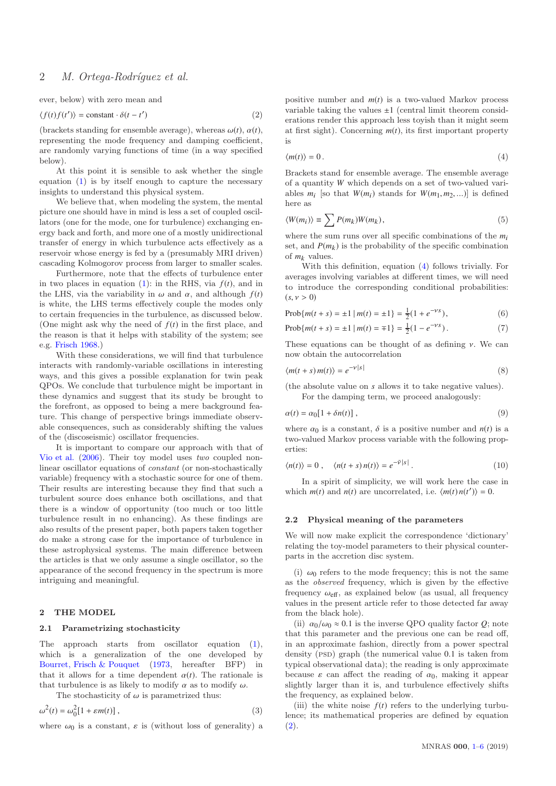ever, below) with zero mean and

$$
\langle f(t)f(t')\rangle = \text{constant} \cdot \delta(t - t') \tag{2}
$$

(brackets standing for ensemble average), whereas  $\omega(t)$ ,  $\alpha(t)$ , representing the mode frequency and damping coefficient, are randomly varying functions of time (in a way specified below).

At this point it is sensible to ask whether the single equation [\(1\)](#page-0-1) is by itself enough to capture the necessary insights to understand this physical system.

We believe that, when modeling the system, the mental picture one should have in mind is less a set of coupled oscillators (one for the mode, one for turbulence) exchanging energy back and forth, and more one of a mostly unidirectional transfer of energy in which turbulence acts effectively as a reservoir whose energy is fed by a (presumably MRI driven) cascading Kolmogorov process from larger to smaller scales.

Furthermore, note that the effects of turbulence enter in two places in equation  $(1)$ : in the RHS, via  $f(t)$ , and in the LHS, via the variability in  $\omega$  and  $\alpha$ , and although  $f(t)$ is white, the LHS terms effectively couple the modes only to certain frequencies in the turbulence, as discussed below. (One might ask why the need of  $f(t)$  in the first place, and the reason is that it helps with stability of the system; see e.g. [Frisch 1968](#page-4-9).)

With these considerations, we will find that turbulence interacts with randomly-variable oscillations in interesting ways, and this gives a possible explanation for twin peak QPOs. We conclude that turbulence might be important in these dynamics and suggest that its study be brought to the forefront, as opposed to being a mere background feature. This change of perspective brings immediate observable consequences, such as considerably shifting the values of the (discoseismic) oscillator frequencies.

It is important to compare our approach with that of [Vio et al.](#page-4-10) [\(2006](#page-4-10)). Their toy model uses two coupled nonlinear oscillator equations of constant (or non-stochastically variable) frequency with a stochastic source for one of them. Their results are interesting because they find that such a turbulent source does enhance both oscillations, and that there is a window of opportunity (too much or too little turbulence result in no enhancing). As these findings are also results of the present paper, both papers taken together do make a strong case for the importance of turbulence in these astrophysical systems. The main difference between the articles is that we only assume a single oscillator, so the appearance of the second frequency in the spectrum is more intriguing and meaningful.

#### 2 THE MODEL

## 2.1 Parametrizing stochasticity

The approach starts from oscillator equation [\(1\)](#page-0-1), which is a generalization of the one developed by [Bourret, Frisch & Pouquet](#page-4-11) [\(1973,](#page-4-11) hereafter BFP) in that it allows for a time dependent  $\alpha(t)$ . The rationale is that turbulence is as likely to modify  $\alpha$  as to modify  $\omega$ .

The stochasticity of  $\omega$  is parametrized thus:

$$
\omega^2(t) = \omega_0^2 [1 + \varepsilon m(t)], \qquad (3)
$$

where  $\omega_0$  is a constant,  $\varepsilon$  is (without loss of generality) a

<span id="page-1-1"></span>positive number and *m*(*t*) is a two-valued Markov process variable taking the values  $\pm 1$  (central limit theorem considerations render this approach less toyish than it might seem at first sight). Concerning *m*(*t*), its first important property is

<span id="page-1-0"></span>
$$
\langle m(t) \rangle = 0. \tag{4}
$$

Brackets stand for ensemble average. The ensemble average of a quantity *W* which depends on a set of two-valued variables  $m_i$  [so that  $W(m_i)$  stands for  $W(m_1, m_2, ...)$ ] is defined here as

$$
\langle W(m_i) \rangle \equiv \sum P(m_k) W(m_k), \qquad (5)
$$

where the sum runs over all specific combinations of the *m*i set, and  $P(m_k)$  is the probability of the specific combination of  $m_k$  values.

With this definition, equation [\(4\)](#page-1-0) follows trivially. For averages involving variables at different times, we will need to introduce the corresponding conditional probabilities:  $(s, v > 0)$ 

$$
\text{Prob}\{m(t+s) = \pm 1 \mid m(t) = \pm 1\} = \frac{1}{2}(1 + e^{-\nu s}),\tag{6}
$$

$$
\text{Prob}\{m(t+s) = \pm 1 \mid m(t) = \mp 1\} = \frac{1}{2}(1 - e^{-\nu s}).\tag{7}
$$

These equations can be thought of as defining  $\nu$ . We can now obtain the autocorrelation

$$
\langle m(t+s) m(t) \rangle = e^{-\nu|s|} \tag{8}
$$

(the absolute value on *s* allows it to take negative values).

For the damping term, we proceed analogously:

$$
\alpha(t) = \alpha_0[1 + \delta n(t)], \qquad (9)
$$

where  $\alpha_0$  is a constant,  $\delta$  is a positive number and  $n(t)$  is a two-valued Markov process variable with the following properties:

$$
\langle n(t) \rangle = 0 , \quad \langle n(t+s) n(t) \rangle = e^{-\bar{\mathcal{V}}[s]} . \tag{10}
$$

In a spirit of simplicity, we will work here the case in which  $m(t)$  and  $n(t)$  are uncorrelated, i.e.  $\langle m(t) n(t') \rangle = 0$ .

#### 2.2 Physical meaning of the parameters

We will now make explicit the correspondence 'dictionary' relating the toy-model parameters to their physical counterparts in the accretion disc system.

(i)  $\omega_0$  refers to the mode frequency; this is not the same as the observed frequency, which is given by the effective frequency  $\omega_{\text{eff}}$ , as explained below (as usual, all frequency values in the present article refer to those detected far away from the black hole).

(ii)  $\alpha_0/\omega_0 \approx 0.1$  is the inverse QPO quality factor *Q*; note that this parameter and the previous one can be read off, in an approximate fashion, directly from a power spectral density (PSD) graph (the numerical value 0.1 is taken from typical observational data); the reading is only approximate because  $\varepsilon$  can affect the reading of  $\alpha_0$ , making it appear slightly larger than it is, and turbulence effectively shifts the frequency, as explained below.

(iii) the white noise  $f(t)$  refers to the underlying turbulence; its mathematical properies are defined by equation  $(2).$  $(2).$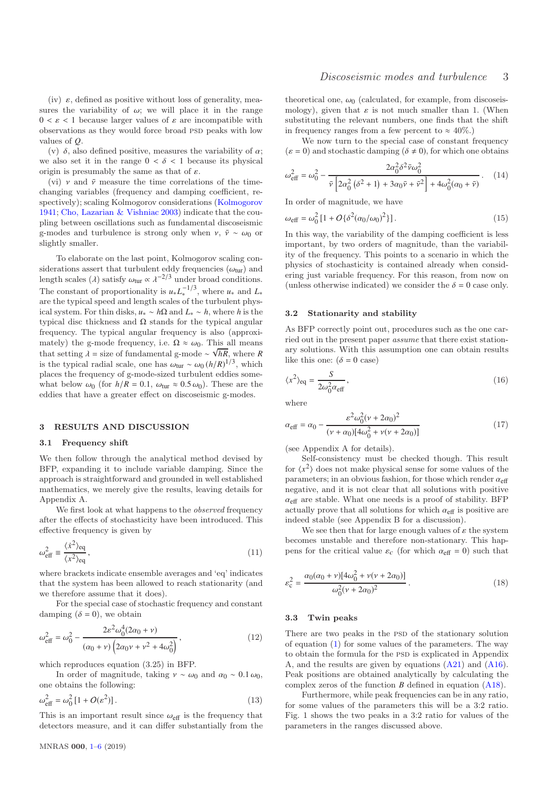(iv)  $\varepsilon$ , defined as positive without loss of generality, measures the variability of  $\omega$ ; we will place it in the range  $0 \leq \varepsilon \leq 1$  because larger values of  $\varepsilon$  are incompatible with observations as they would force broad PSD peaks with low values of *Q*.

(v)  $\delta$ , also defined positive, measures the variability of  $\alpha$ ; we also set it in the range  $0 < \delta < 1$  because its physical origin is presumably the same as that of  $\varepsilon$ .

(vi)  $\nu$  and  $\bar{\nu}$  measure the time correlations of the timechanging variables (frequency and damping coefficient, respectively); scaling Kolmogorov considerations [\(Kolmogorov](#page-4-12) [1941](#page-4-12); [Cho, Lazarian & Vishniac 2003](#page-4-13)) indicate that the coupling between oscillations such as fundamental discoseismic g-modes and turbulence is strong only when  $\nu$ ,  $\bar{\nu} \sim \omega_0$  or slightly smaller.

To elaborate on the last point, Kolmogorov scaling considerations assert that turbulent eddy frequencies  $(\omega_{\text{tur}})$  and length scales ( $\lambda$ ) satisfy  $\omega_{\text{tur}} \propto \lambda^{-2/3}$  under broad conditions. The constant of proportionality is  $u_* L_*^{-1/3}$ , where  $u_*$  and  $L_*$ The constant of proportionality is  $u * L_*$ , where  $u_*$  and  $L_*$ <br>are the typical speed and length scales of the turbulent physical system. For thin disks, *<sup>u</sup>*<sup>∗</sup> <sup>∼</sup> *<sup>h</sup>*<sup>Ω</sup> and *<sup>L</sup>*<sup>∗</sup> <sup>∼</sup> *<sup>h</sup>*, where *<sup>h</sup>* is the typical disc thickness and  $\Omega$  stands for the typical angular frequency. The typical angular frequency is also (approximately) the g-mode frequency, i.e.  $\Omega \approx \omega_0$ . This all means that setting  $\lambda =$  size of fundamental g-mode ~  $\sqrt{hR}$ , where *R* is the typical radial scale, one has  $\omega_{\text{tur}} \sim \omega_0 (h/R)^{1/3}$ , which places the frequency of g-mode-sized turbulent eddies somewhat below  $\omega_0$  (for  $h/R = 0.1$ ,  $\omega_{\text{tur}} \approx 0.5 \omega_0$ ). These are the eddies that have a greater effect on discoseismic g-modes.

#### 3 RESULTS AND DISCUSSION

## 3.1 Frequency shift

We then follow through the analytical method devised by BFP, expanding it to include variable damping. Since the approach is straightforward and grounded in well established mathematics, we merely give the results, leaving details for Appendix A.

We first look at what happens to the *observed* frequency after the effects of stochasticity have been introduced. This effective frequency is given by

$$
\omega_{\text{eff}}^2 \equiv \frac{\langle \dot{x}^2 \rangle_{\text{eq}}}{\langle x^2 \rangle_{\text{eq}}},\tag{11}
$$

where brackets indicate ensemble averages and 'eq' indicates that the system has been allowed to reach stationarity (and we therefore assume that it does).

For the special case of stochastic frequency and constant damping  $(\delta = 0)$ , we obtain

<span id="page-2-1"></span>
$$
\omega_{\text{eff}}^2 = \omega_0^2 - \frac{2\varepsilon^2 \omega_0^4 (2\alpha_0 + v)}{(\alpha_0 + v) \left(2\alpha_0 v + v^2 + 4\omega_0^2\right)},\tag{12}
$$

which reproduces equation (3.25) in BFP.

In order of magnitude, taking  $v \sim \omega_0$  and  $\alpha_0 \sim 0.1 \omega_0$ , one obtains the following:

$$
\omega_{\text{eff}}^2 = \omega_0^2 \left[ 1 + O(\varepsilon^2) \right]. \tag{13}
$$

This is an important result since  $\omega_{\text{eff}}$  is the frequency that detectors measure, and it can differ substantially from the theoretical one,  $\omega_0$  (calculated, for example, from discoseismology), given that  $\varepsilon$  is not much smaller than 1. (When substituting the relevant numbers, one finds that the shift in frequency ranges from a few percent to  $\approx 40\%$ .

We now turn to the special case of constant frequency  $(\varepsilon = 0)$  and stochastic damping  $(\delta \neq 0)$ , for which one obtains

<span id="page-2-2"></span>
$$
\omega_{\text{eff}}^2 = \omega_0^2 - \frac{2\alpha_0^2 \delta^2 \bar{\nu}\omega_0^2}{\bar{\nu} \left[2\alpha_0^2 \left(\delta^2 + 1\right) + 3\alpha_0 \bar{\nu} + \bar{\nu}^2\right] + 4\omega_0^2 (\alpha_0 + \bar{\nu})}.
$$
 (14)

In order of magnitude, we have

$$
\omega_{\text{eff}} = \omega_0^2 [1 + O\{\delta^2 (\alpha_0/\omega_0)^2\}].
$$
\n(15)

In this way, the variability of the damping coefficient is less important, by two orders of magnitude, than the variability of the frequency. This points to a scenario in which the physics of stochasticity is contained already when considering just variable frequency. For this reason, from now on (unless otherwise indicated) we consider the  $\delta = 0$  case only.

#### 3.2 Stationarity and stability

As BFP correctly point out, procedures such as the one carried out in the present paper *assume* that there exist stationary solutions. With this assumption one can obtain results like this one:  $(\delta = 0 \text{ case})$ 

<span id="page-2-3"></span>
$$
\langle x^2 \rangle_{\text{eq}} = \frac{S}{2\omega_0^2 \alpha_{\text{eff}}},\tag{16}
$$

<span id="page-2-4"></span>where

$$
\alpha_{\text{eff}} = \alpha_0 - \frac{\varepsilon^2 \omega_0^2 (\nu + 2\alpha_0)^2}{(\nu + \alpha_0)[4\omega_0^2 + \nu(\nu + 2\alpha_0)]}
$$
(17)

(see Appendix A for details).

Self-consistency must be checked though. This result for  $\langle x^2 \rangle$  does not make physical sense for some values of the parameters; in an obvious fashion, for those which render  $\alpha_{\text{eff}}$ negative, and it is not clear that all solutions with positive  $\alpha_{\text{eff}}$  are stable. What one needs is a proof of stability. BFP actually prove that all solutions for which  $\alpha_{\text{eff}}$  is positive are indeed stable (see Appendix B for a discussion).

We see then that for large enough values of  $\varepsilon$  the system becomes unstable and therefore non-stationary. This happens for the critical value  $\varepsilon_c$  (for which  $\alpha_{\text{eff}} = 0$ ) such that

<span id="page-2-0"></span>
$$
\varepsilon_{\rm c}^2 = \frac{\alpha_0(\alpha_0 + \nu)[4\omega_0^2 + \nu(\nu + 2\alpha_0)]}{\omega_0^2(\nu + 2\alpha_0)^2} \,. \tag{18}
$$

## 3.3 Twin peaks

There are two peaks in the PSD of the stationary solution of equation [\(1\)](#page-0-1) for some values of the parameters. The way to obtain the formula for the PSD is explicated in Appendix A, and the results are given by equations [\(A21\)](#page-5-1) and [\(A16\)](#page-4-14). Peak positions are obtained analytically by calculating the complex zeros of the function *B* defined in equation [\(A18\)](#page-5-2).

Furthermore, while peak frequencies can be in any ratio, for some values of the parameters this will be a 3:2 ratio. Fig. 1 shows the two peaks in a 3:2 ratio for values of the parameters in the ranges discussed above.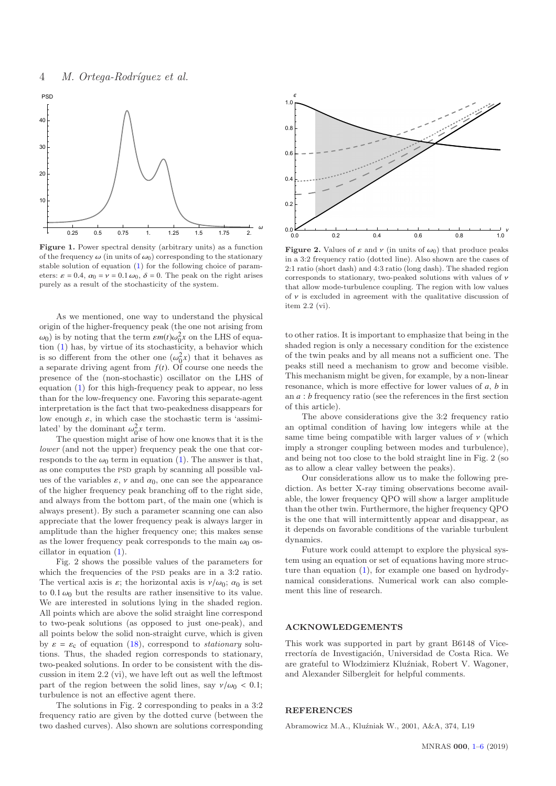

Figure 1. Power spectral density (arbitrary units) as a function of the frequency  $\omega$  (in units of  $\omega_0$ ) corresponding to the stationary stable solution of equation [\(1\)](#page-0-1) for the following choice of parameters:  $\varepsilon = 0.4$ ,  $\alpha_0 = v = 0.1 \omega_0$ ,  $\delta = 0$ . The peak on the right arises purely as a result of the stochasticity of the system.

As we mentioned, one way to understand the physical origin of the higher-frequency peak (the one not arising from  $\omega_0$ ) is by noting that the term  $\epsilon m(t)\omega_0^2 x$  on the LHS of equation [\(1\)](#page-0-1) has, by virtue of its stochasticity, a behavior which is so different from the other one  $(\omega_0^2 x)$  that it behaves as a separate driving agent from  $f(t)$ . Of course one needs the presence of the (non-stochastic) oscillator on the LHS of equation [\(1\)](#page-0-1) for this high-frequency peak to appear, no less than for the low-frequency one. Favoring this separate-agent interpretation is the fact that two-peakedness disappears for low enough  $\varepsilon$ , in which case the stochastic term is 'assimilated' by the dominant  $\omega_0^2 x$  term.

The question might arise of how one knows that it is the lower (and not the upper) frequency peak the one that corresponds to the  $\omega_0$  term in equation [\(1\)](#page-0-1). The answer is that, as one computes the PSD graph by scanning all possible values of the variables  $\varepsilon$ ,  $\nu$  and  $\alpha_0$ , one can see the appearance of the higher frequency peak branching off to the right side, and always from the bottom part, of the main one (which is always present). By such a parameter scanning one can also appreciate that the lower frequency peak is always larger in amplitude than the higher frequency one; this makes sense as the lower frequency peak corresponds to the main  $\omega_0$  oscillator in equation [\(1\)](#page-0-1).

Fig. 2 shows the possible values of the parameters for which the frequencies of the PSD peaks are in a 3:2 ratio. The vertical axis is  $\varepsilon$ ; the horizontal axis is  $\nu/\omega_0$ ;  $\alpha_0$  is set to  $0.1 \omega_0$  but the results are rather insensitive to its value. We are interested in solutions lying in the shaded region. All points which are above the solid straight line correspond to two-peak solutions (as opposed to just one-peak), and all points below the solid non-straight curve, which is given by  $\varepsilon = \varepsilon_c$  of equation [\(18\)](#page-2-0), correspond to *stationary* solutions. Thus, the shaded region corresponds to stationary, two-peaked solutions. In order to be consistent with the discussion in item 2.2 (vi), we have left out as well the leftmost part of the region between the solid lines, say  $\nu/\omega_0 < 0.1$ ; turbulence is not an effective agent there.

The solutions in Fig. 2 corresponding to peaks in a 3:2 frequency ratio are given by the dotted curve (between the two dashed curves). Also shown are solutions corresponding



**Figure 2.** Values of  $\varepsilon$  and  $\nu$  (in units of  $\omega_0$ ) that produce peaks in a 3:2 frequency ratio (dotted line). Also shown are the cases of 2:1 ratio (short dash) and 4:3 ratio (long dash). The shaded region corresponds to stationary, two-peaked solutions with values of  $\nu$ that allow mode-turbulence coupling. The region with low values of  $\nu$  is excluded in agreement with the qualitative discussion of item 2.2 (vi).

to other ratios. It is important to emphasize that being in the shaded region is only a necessary condition for the existence of the twin peaks and by all means not a sufficient one. The peaks still need a mechanism to grow and become visible. This mechanism might be given, for example, by a non-linear resonance, which is more effective for lower values of *a*, *b* in an *a* : *b* frequency ratio (see the references in the first section of this article).

The above considerations give the 3:2 frequency ratio an optimal condition of having low integers while at the same time being compatible with larger values of  $\nu$  (which imply a stronger coupling between modes and turbulence), and being not too close to the bold straight line in Fig. 2 (so as to allow a clear valley between the peaks).

Our considerations allow us to make the following prediction. As better X-ray timing observations become available, the lower frequency QPO will show a larger amplitude than the other twin. Furthermore, the higher frequency QPO is the one that will intermittently appear and disappear, as it depends on favorable conditions of the variable turbulent dynamics.

Future work could attempt to explore the physical system using an equation or set of equations having more structure than equation [\(1\)](#page-0-1), for example one based on hydrodynamical considerations. Numerical work can also complement this line of research.

## ACKNOWLEDGEMENTS

This work was supported in part by grant B6148 of Vicerrectoría de Investigación, Universidad de Costa Rica. We are grateful to Włodzimierz Kluźniak, Robert V. Wagoner, and Alexander Silbergleit for helpful comments.

## **REFERENCES**

<span id="page-3-0"></span>Abramowicz M.A., Kluźniak W., 2001, A&A, 374, L19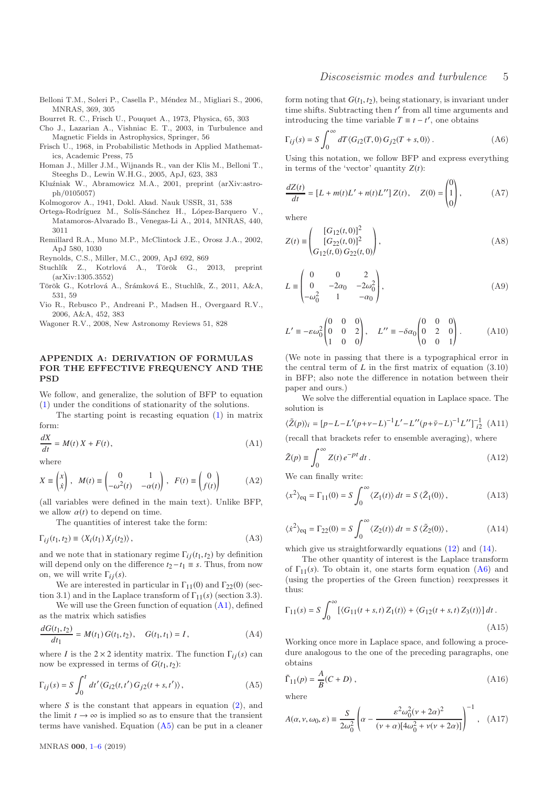- <span id="page-4-2"></span>Belloni T.M., Soleri P., Casella P., Méndez M., Migliari S., 2006, MNRAS, 369, 305
- <span id="page-4-11"></span>Bourret R. C., Frisch U., Pouquet A., 1973, Physica, 65, 303
- <span id="page-4-13"></span>Cho J., Lazarian A., Vishniac E. T., 2003, in Turbulence and Magnetic Fields in Astrophysics, Springer, 56
- <span id="page-4-9"></span>Frisch U., 1968, in Probabilistic Methods in Applied Mathematics, Academic Press, 75
- <span id="page-4-1"></span>Homan J., Miller J.M., Wijnands R., van der Klis M., Belloni T., Steeghs D., Lewin W.H.G., 2005, ApJ, 623, 383
- <span id="page-4-4"></span>Kluźniak W., Abramowicz M.A., 2001, preprint (arXiv:astroph/0105057)
- <span id="page-4-12"></span>Kolmogorov A., 1941, Dokl. Akad. Nauk USSR, 31, 538
- <span id="page-4-3"></span>Ortega-Rodríguez M., Solís-Sánchez H., López-Barquero V., Matamoros-Alvarado B., Venegas-Li A., 2014, MNRAS, 440, 3011
- <span id="page-4-0"></span>Remillard R.A., Muno M.P., McClintock J.E., Orosz J.A., 2002, ApJ 580, 1030
- <span id="page-4-8"></span>Reynolds, C.S., Miller, M.C., 2009, ApJ 692, 869
- <span id="page-4-5"></span>Stuchlík Z., Kotrlová A., Török G., 2013, preprint (arXiv:1305.3552)
- <span id="page-4-6"></span>Török G., Kotrlová A., Šrámková E., Stuchlík, Z., 2011, A&A, 531, 59
- <span id="page-4-10"></span>Vio R., Rebusco P., Andreani P., Madsen H., Overgaard R.V., 2006, A&A, 452, 383

<span id="page-4-7"></span>Wagoner R.V., 2008, New Astronomy Reviews 51, 828

## APPENDIX A: DERIVATION OF FORMULAS FOR THE EFFECTIVE FREQUENCY AND THE PSD

We follow, and generalize, the solution of BFP to equation [\(1\)](#page-0-1) under the conditions of stationarity of the solutions.

<span id="page-4-15"></span>The starting point is recasting equation [\(1\)](#page-0-1) in matrix form:

$$
\frac{dX}{dt} = M(t)X + F(t),\tag{A1}
$$

where

$$
X \equiv \begin{pmatrix} x \\ \dot{x} \end{pmatrix}, \quad M(t) \equiv \begin{pmatrix} 0 & 1 \\ -\omega^2(t) & -\alpha(t) \end{pmatrix}, \quad F(t) \equiv \begin{pmatrix} 0 \\ f(t) \end{pmatrix} \tag{A2}
$$

(all variables were defined in the main text). Unlike BFP, we allow  $\alpha(t)$  to depend on time.

The quantities of interest take the form:

$$
\Gamma_{ij}(t_1, t_2) \equiv \langle X_i(t_1) X_j(t_2) \rangle, \tag{A3}
$$

and we note that in stationary regime  $\Gamma_{ij}(t_1, t_2)$  by definition will depend only on the difference  $t_2 - t_1 \equiv s$ . Thus, from now on, we will write  $\Gamma_{ij}(s)$ .

We are interested in particular in  $\Gamma_{11}(0)$  and  $\Gamma_{22}(0)$  (sec-

tion 3.1) and in the Laplace transform of  $\Gamma_{11}(s)$  (section 3.3). We will use the Green function of equation [\(A1\)](#page-4-15), defined as the matrix which satisfies

$$
\frac{dG(t_1, t_2)}{dt_1} = M(t_1) G(t_1, t_2), \quad G(t_1, t_1) = I,
$$
\n(A4)

where *I* is the  $2 \times 2$  identity matrix. The function  $\Gamma_{ij}(s)$  can now be expressed in terms of  $G(t_1, t_2)$ :

$$
\Gamma_{ij}(s) = S \int_0^t dt' \langle G_{i2}(t, t') G_{j2}(t + s, t') \rangle, \qquad (A5)
$$

where  $S$  is the constant that appears in equation  $(2)$ , and the limit  $t \to \infty$  is implied so as to ensure that the transient terms have vanished. Equation  $(A5)$  can be put in a cleaner form noting that  $G(t_1, t_2)$ , being stationary, is invariant under time shifts. Subtracting then *t*' from all time arguments and introducing the time variable  $T \equiv t - t'$ , one obtains

<span id="page-4-17"></span>
$$
\Gamma_{ij}(s) = S \int_0^\infty dT \langle G_{i2}(T,0) G_{j2}(T+s,0) \rangle . \tag{A6}
$$

Using this notation, we follow BFP and express everything in terms of the 'vector' quantity  $Z(t)$ :

$$
\frac{dZ(t)}{dt} = [L + m(t)L' + n(t)L''] Z(t), \quad Z(0) = \begin{pmatrix} 0 \\ 1 \\ 0 \end{pmatrix}, \quad (A7)
$$

where

$$
Z(t) \equiv \begin{pmatrix} [G_{12}(t,0)]^2 \\ [G_{22}(t,0)]^2 \\ G_{12}(t,0) G_{22}(t,0) \end{pmatrix},
$$
 (A8)

$$
L \equiv \begin{pmatrix} 0 & 0 & 2 \\ 0 & -2\alpha_0 & -2\omega_0^2 \\ -\omega_0^2 & 1 & -\alpha_0 \end{pmatrix},
$$
 (A9)

$$
L' \equiv -\varepsilon \omega_0^2 \begin{pmatrix} 0 & 0 & 0 \\ 0 & 0 & 2 \\ 1 & 0 & 0 \end{pmatrix}, \quad L'' \equiv -\delta \alpha_0 \begin{pmatrix} 0 & 0 & 0 \\ 0 & 2 & 0 \\ 0 & 0 & 1 \end{pmatrix}.
$$
 (A10)

(We note in passing that there is a typographical error in the central term of  $L$  in the first matrix of equation  $(3.10)$ in BFP; also note the difference in notation between their paper and ours.)

<span id="page-4-19"></span>We solve the differential equation in Laplace space. The solution is

$$
\langle \tilde{Z}(p) \rangle_i = [p - L - L'(p + \nu - L)^{-1}L' - L''(p + \bar{\nu} - L)^{-1}L'']_{i2}^{-1} \text{ (A11)}
$$

(recall that brackets refer to ensemble averaging), where

$$
\tilde{Z}(p) \equiv \int_0^\infty Z(t) e^{-pt} dt . \tag{A12}
$$

We can finally write:

$$
\langle x^2 \rangle_{\text{eq}} = \Gamma_{11}(0) = S \int_0^\infty \langle Z_1(t) \rangle \, dt = S \langle \tilde{Z}_1(0) \rangle, \tag{A13}
$$

$$
\langle \dot{x}^2 \rangle_{\text{eq}} = \Gamma_{22}(0) = S \int_0^\infty \langle Z_2(t) \rangle \, dt = S \langle \tilde{Z}_2(0) \rangle, \tag{A14}
$$

which give us straightforwardly equations  $(12)$  and  $(14)$ .

The other quantity of interest is the Laplace transform of  $\Gamma_{11}(s)$ . To obtain it, one starts form equation [\(A6\)](#page-4-17) and (using the properties of the Green function) reexpresses it thus:

<span id="page-4-18"></span>
$$
\Gamma_{11}(s) = S \int_0^\infty \left[ \langle G_{11}(t+s,t) Z_1(t) \rangle + \langle G_{12}(t+s,t) Z_3(t) \rangle \right] dt.
$$
\n(A15)

Working once more in Laplace space, and following a procedure analogous to the one of the preceding paragraphs, one obtains

<span id="page-4-16"></span><span id="page-4-14"></span>
$$
\tilde{\Gamma}_{11}(p) = \frac{A}{B}(C+D) ,
$$
\n(A16)

where

$$
A(\alpha, \nu, \omega_0, \varepsilon) \equiv \frac{S}{2\omega_0^2} \left( \alpha - \frac{\varepsilon^2 \omega_0^2 (\nu + 2\alpha)^2}{(\nu + \alpha)[4\omega_0^2 + \nu(\nu + 2\alpha)]} \right)^{-1}, \quad (A17)
$$